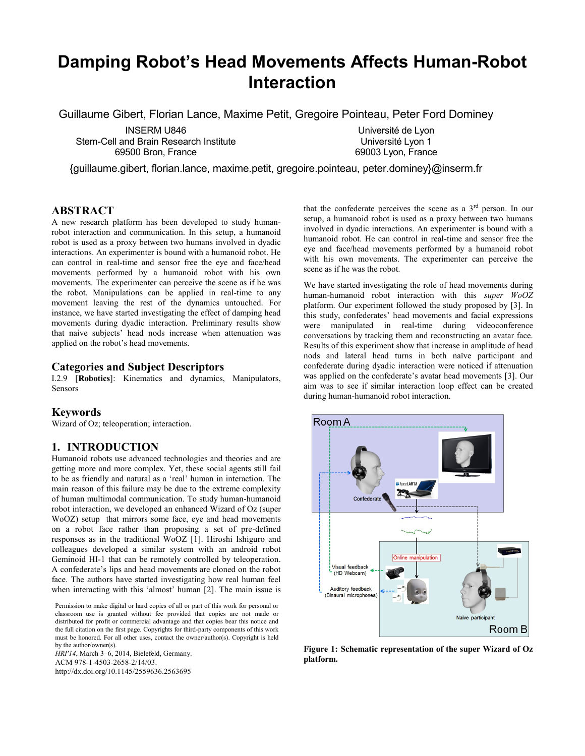# **Damping Robot's Head Movements Affects Human-Robot Interaction**

Guillaume Gibert, Florian Lance, Maxime Petit, Gregoire Pointeau, Peter Ford Dominey

INSERM U846 Stem-Cell and Brain Research Institute 69500 Bron, France

Université de Lyon Université Lyon 1 69003 Lyon, France

{guillaume.gibert, florian.lance, maxime.petit, gregoire.pointeau, peter.dominey}@inserm.fr

# **ABSTRACT**

A new research platform has been developed to study humanrobot interaction and communication. In this setup, a humanoid robot is used as a proxy between two humans involved in dyadic interactions. An experimenter is bound with a humanoid robot. He can control in real-time and sensor free the eye and face/head movements performed by a humanoid robot with his own movements. The experimenter can perceive the scene as if he was the robot. Manipulations can be applied in real-time to any movement leaving the rest of the dynamics untouched. For instance, we have started investigating the effect of damping head movements during dyadic interaction. Preliminary results show that naive subjects' head nods increase when attenuation was applied on the robot's head movements.

#### **Categories and Subject Descriptors**

I.2.9 [**Robotics**]: Kinematics and dynamics, Manipulators, Sensors

#### **Keywords**

Wizard of Oz; teleoperation; interaction.

## **1. INTRODUCTION**

Humanoid robots use advanced technologies and theories and are getting more and more complex. Yet, these social agents still fail to be as friendly and natural as a 'real' human in interaction. The main reason of this failure may be due to the extreme complexity of human multimodal communication. To study human-humanoid robot interaction, we developed an enhanced Wizard of Oz (super WoOZ) setup that mirrors some face, eye and head movements on a robot face rather than proposing a set of pre-defined responses as in the traditional WoOZ [1]. Hiroshi Ishiguro and colleagues developed a similar system with an android robot Geminoid HI-1 that can be remotely controlled by teleoperation. A confederate's lips and head movements are cloned on the robot face. The authors have started investigating how real human feel when interacting with this 'almost' human [2]. The main issue is

Permission to make digital or hard copies of all or part of this work for personal or classroom use is granted without fee provided that copies are not made or distributed for profit or commercial advantage and that copies bear this notice and the full citation on the first page. Copyrights for third-party components of this work must be honored. For all other uses, contact the owner/author(s). Copyright is held by the author/owner(s).

*HRI'14*, March 3–6, 2014, Bielefeld, Germany. ACM 978-1-4503-2658-2/14/03. http://dx.doi.org/10.1145/2559636.2563695 that the confederate perceives the scene as a  $3<sup>rd</sup>$  person. In our setup, a humanoid robot is used as a proxy between two humans involved in dyadic interactions. An experimenter is bound with a humanoid robot. He can control in real-time and sensor free the eye and face/head movements performed by a humanoid robot with his own movements. The experimenter can perceive the scene as if he was the robot.

We have started investigating the role of head movements during human-humanoid robot interaction with this *super WoOZ* platform. Our experiment followed the study proposed by [3]. In this study, confederates' head movements and facial expressions were manipulated in real-time during videoconference conversations by tracking them and reconstructing an avatar face. Results of this experiment show that increase in amplitude of head nods and lateral head turns in both naïve participant and confederate during dyadic interaction were noticed if attenuation was applied on the confederate's avatar head movements [3]. Our aim was to see if similar interaction loop effect can be created during human-humanoid robot interaction.



<span id="page-0-0"></span>**Figure 1: Schematic representation of the super Wizard of Oz platform.**